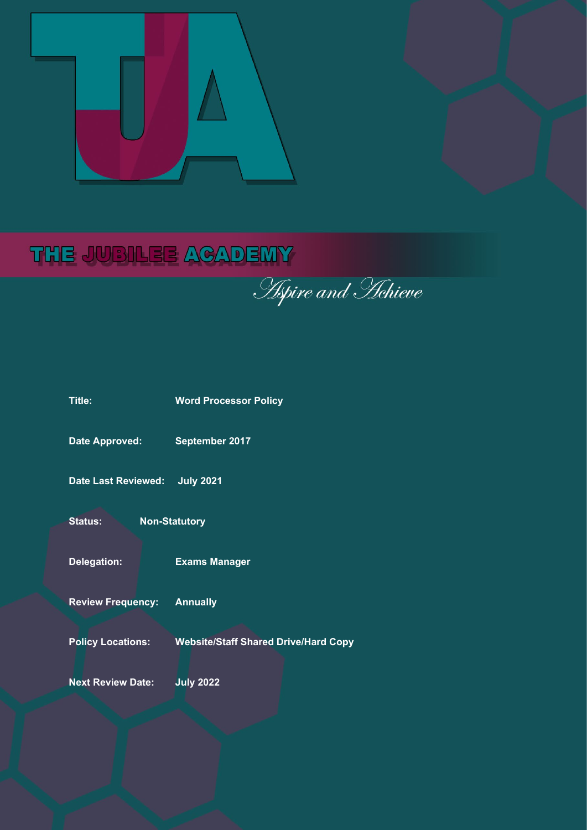

# THE JUBILEE ACADEMY

**Apire and Hehieve** 

| Title:                     | <b>Word Processor Policy</b>                |
|----------------------------|---------------------------------------------|
| <b>Date Approved:</b>      | September 2017                              |
| <b>Date Last Reviewed:</b> | <b>July 2021</b>                            |
| <b>Status:</b>             | <b>Non-Statutory</b>                        |
| <b>Delegation:</b>         | <b>Exams Manager</b>                        |
| <b>Review Frequency:</b>   | <b>Annually</b>                             |
| <b>Policy Locations:</b>   | <b>Website/Staff Shared Drive/Hard Copy</b> |
| <b>Next Review Date:</b>   | <b>July 2022</b>                            |
|                            |                                             |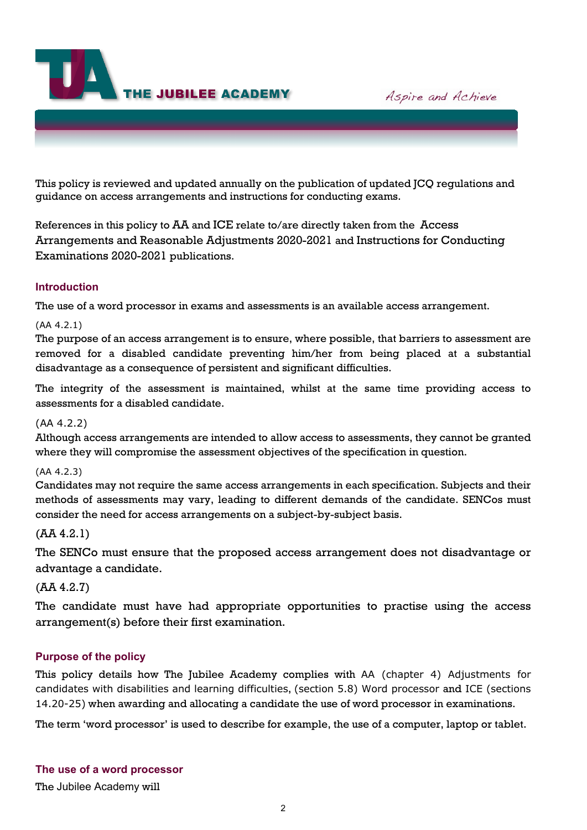**THE JUBILEE ACADEMY** 

Aspire and Achieve

This policy is reviewed and updated annually on the publication of updated JCQ regulations and guidance on access arrangements and instructions for conducting exams.

References in this policy to AA and ICE relate to/are directly taken from the [Access](http://www.jcq.org.uk/exams-office/access-arrangements-and-special-consideration/regulations-and-guidance)  [Arrangements and Reasonable Adjustments 2020-2021](http://www.jcq.org.uk/exams-office/access-arrangements-and-special-consideration/regulations-and-guidance) and [Instructions for Conducting](http://www.jcq.org.uk/exams-office/ice---instructions-for-conducting-examinations)  [Examinations 2020-2021](http://www.jcq.org.uk/exams-office/ice---instructions-for-conducting-examinations) publications.

## **Introduction**

The use of a word processor in exams and assessments is an available access arrangement.

#### (AA 4.2.1)

The purpose of an access arrangement is to ensure, where possible, that barriers to assessment are removed for a disabled candidate preventing him/her from being placed at a substantial disadvantage as a consequence of persistent and significant difficulties.

The integrity of the assessment is maintained, whilst at the same time providing access to assessments for a disabled candidate.

#### (AA 4.2.2)

Although access arrangements are intended to allow access to assessments, they cannot be granted where they will compromise the assessment objectives of the specification in question.

#### (AA 4.2.3)

Candidates may not require the same access arrangements in each specification. Subjects and their methods of assessments may vary, leading to different demands of the candidate. SENCos must consider the need for access arrangements on a subject-by-subject basis.

## (AA 4.2.1)

The SENCo must ensure that the proposed access arrangement does not disadvantage or advantage a candidate.

## (AA 4.2.7)

The candidate must have had appropriate opportunities to practise using the access arrangement(s) before their first examination.

## **Purpose of the policy**

This policy details how The Jubilee Academy complies with AA (chapter 4) Adjustments for candidates with disabilities and learning difficulties, (section 5.8) Word processor and ICE (sections 14.20-25) when awarding and allocating a candidate the use of word processor in examinations.

The term 'word processor' is used to describe for example, the use of a computer, laptop or tablet.

## **The use of a word processor**

The Jubilee Academy will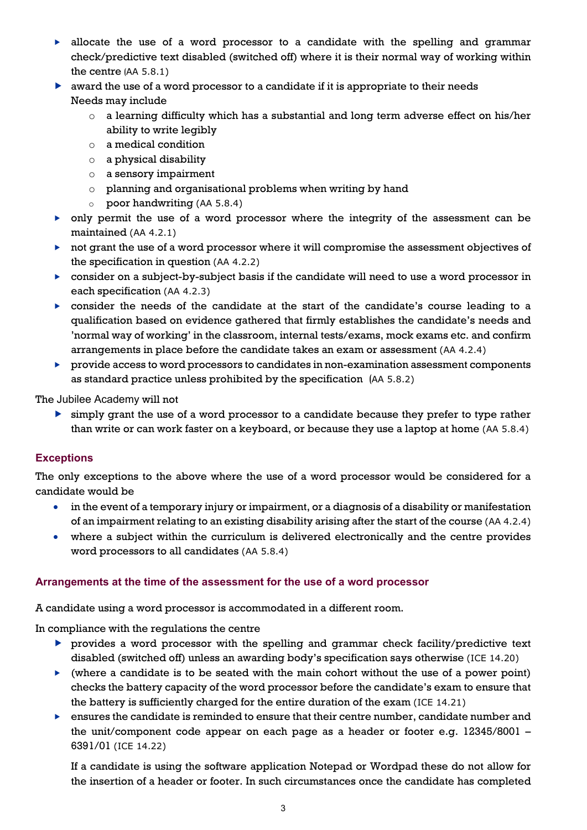- $\blacktriangleright$  allocate the use of a word processor to a candidate with the spelling and grammar check/predictive text disabled (switched off) where it is their normal way of working within the centre (AA 5.8.1)
- $\blacktriangleright$  award the use of a word processor to a candidate if it is appropriate to their needs Needs may include
	- $\circ$  a learning difficulty which has a substantial and long term adverse effect on his/her ability to write legibly
	- o a medical condition
	- o a physical disability
	- o a sensory impairment
	- o planning and organisational problems when writing by hand
	- o poor handwriting (AA 5.8.4)
- only permit the use of a word processor where the integrity of the assessment can be maintained (AA 4.2.1)
- not grant the use of a word processor where it will compromise the assessment objectives of the specification in question (AA 4.2.2)
- $\triangleright$  consider on a subject-by-subject basis if the candidate will need to use a word processor in each specification (AA 4.2.3)
- consider the needs of the candidate at the start of the candidate's course leading to a qualification based on evidence gathered that firmly establishes the candidate's needs and 'normal way of working' in the classroom, internal tests/exams, mock exams etc. and confirm arrangements in place before the candidate takes an exam or assessment (AA 4.2.4)
- provide access to word processors to candidates in non-examination assessment components as standard practice unless prohibited by the specification (AA 5.8.2)

The Jubilee Academy will not

 simply grant the use of a word processor to a candidate because they prefer to type rather than write or can work faster on a keyboard, or because they use a laptop at home (AA 5.8.4)

# **Exceptions**

The only exceptions to the above where the use of a word processor would be considered for a candidate would be

- in the event of a temporary injury or impairment, or a diagnosis of a disability or manifestation of an impairment relating to an existing disability arising after the start of the course (AA 4.2.4)
- where a subject within the curriculum is delivered electronically and the centre provides word processors to all candidates (AA 5.8.4)

## **Arrangements at the time of the assessment for the use of a word processor**

A candidate using a word processor is accommodated in a different room.

In compliance with the regulations the centre

- $\triangleright$  provides a word processor with the spelling and grammar check facility/predictive text disabled (switched off) unless an awarding body's specification says otherwise (ICE 14.20)
- (where a candidate is to be seated with the main cohort without the use of a power point) checks the battery capacity of the word processor before the candidate's exam to ensure that the battery is sufficiently charged for the entire duration of the exam (ICE 14.21)
- ensures the candidate is reminded to ensure that their centre number, candidate number and the unit/component code appear on each page as a header or footer e.g. 12345/8001 – 6391/01 (ICE 14.22)

If a candidate is using the software application Notepad or Wordpad these do not allow for the insertion of a header or footer. In such circumstances once the candidate has completed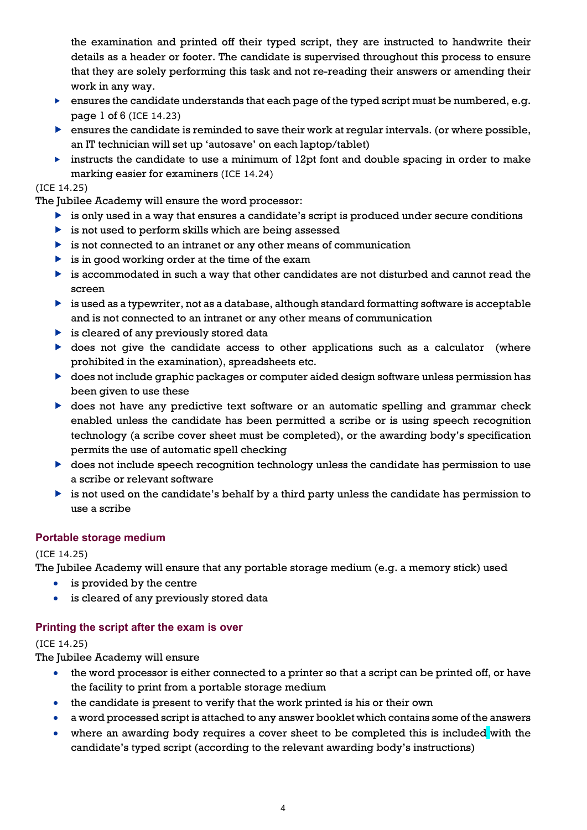the examination and printed off their typed script, they are instructed to handwrite their details as a header or footer. The candidate is supervised throughout this process to ensure that they are solely performing this task and not re-reading their answers or amending their work in any way.

- **EXECUTE:** ensures the candidate understands that each page of the typed script must be numbered, e.g. page 1 of 6 (ICE 14.23)
- $\triangleright$  ensures the candidate is reminded to save their work at regular intervals. (or where possible, an IT technician will set up 'autosave' on each laptop/tablet)
- instructs the candidate to use a minimum of  $12pt$  font and double spacing in order to make marking easier for examiners (ICE 14.24)

# (ICE 14.25)

The Jubilee Academy will ensure the word processor:

- is only used in a way that ensures a candidate's script is produced under secure conditions
- $\triangleright$  is not used to perform skills which are being assessed
- $\triangleright$  is not connected to an intranet or any other means of communication
- $\triangleright$  is in good working order at the time of the exam
- is accommodated in such a way that other candidates are not disturbed and cannot read the screen
- is used as a typewriter, not as a database, although standard formatting software is acceptable and is not connected to an intranet or any other means of communication
- $\triangleright$  is cleared of any previously stored data
- $\triangleright$  does not give the candidate access to other applications such as a calculator (where prohibited in the examination), spreadsheets etc.
- does not include graphic packages or computer aided design software unless permission has been given to use these
- **b** does not have any predictive text software or an automatic spelling and grammar check enabled unless the candidate has been permitted a scribe or is using speech recognition technology (a scribe cover sheet must be completed), or the awarding body's specification permits the use of automatic spell checking
- does not include speech recognition technology unless the candidate has permission to use a scribe or relevant software
- $\triangleright$  is not used on the candidate's behalf by a third party unless the candidate has permission to use a scribe

# **Portable storage medium**

# (ICE 14.25)

The Jubilee Academy will ensure that any portable storage medium (e.g. a memory stick) used

- is provided by the centre
- is cleared of any previously stored data

# **Printing the script after the exam is over**

## (ICE 14.25)

The Jubilee Academy will ensure

- the word processor is either connected to a printer so that a script can be printed off, or have the facility to print from a portable storage medium
- the candidate is present to verify that the work printed is his or their own
- a word processed script is attached to any answer booklet which contains some of the answers
- where an awarding body requires a cover sheet to be completed this is included with the candidate's typed script (according to the relevant awarding body's instructions)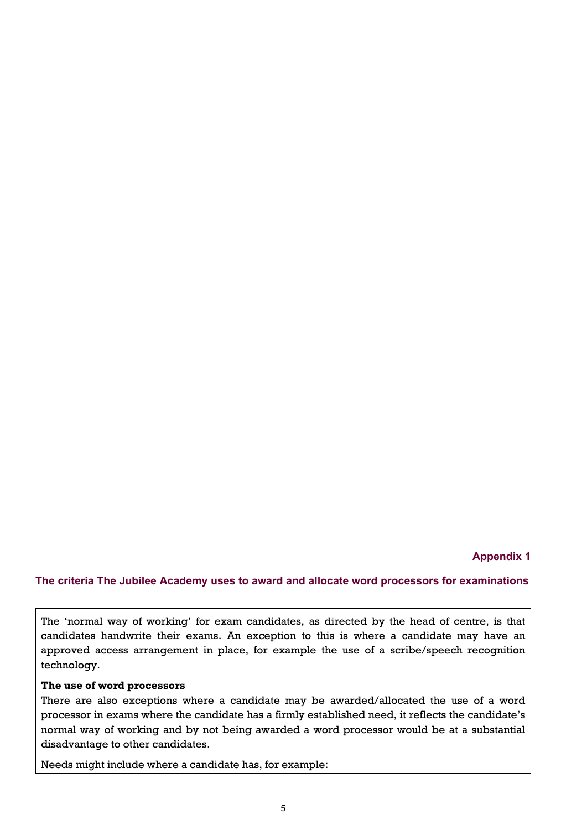## **Appendix 1**

#### **The criteria The Jubilee Academy uses to award and allocate word processors for examinations**

The 'normal way of working' for exam candidates, as directed by the head of centre, is that candidates handwrite their exams. An exception to this is where a candidate may have an approved access arrangement in place, for example the use of a scribe/speech recognition technology.

#### **The use of word processors**

There are also exceptions where a candidate may be awarded/allocated the use of a word processor in exams where the candidate has a firmly established need, it reflects the candidate's normal way of working and by not being awarded a word processor would be at a substantial disadvantage to other candidates.

Needs might include where a candidate has, for example: